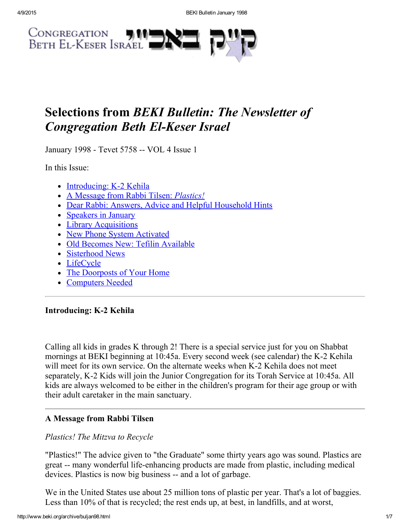

## Selections from BEKI Bulletin: The Newsletter of **Congregation Beth El-Keser Israel**

January 1998 - Tevet 5758 -- VOL 4 Issue 1

In this Issue:

- $\bullet$  [Introducing:](#page-0-0) K-2 Kehila
- A Message from Rabbi Tilsen: *[Plastics!](#page-0-1)*
- Dear Rabbi: Answers, Advice and Helpful [Household](#page-1-0) Hints
- [Speakers](#page-2-0) in January
- Library [Acquisitions](#page-2-1)
- New Phone System [Activated](#page-3-0)
- Old Becomes New: Tefilin [Available](#page-4-0)
- [Sisterhood](#page-4-2) News
- [LifeCycle](#page-4-1)
- The [Doorposts](#page-5-1) of Your Home
- [Computers](#page-5-0) Needed

## <span id="page-0-0"></span>Introducing: K-2 Kehila

Calling all kids in grades K through 2! There is a special service just for you on Shabbat mornings at BEKI beginning at 10:45a. Every second week (see calendar) the K-2 Kehila will meet for its own service. On the alternate weeks when K-2 Kehila does not meet separately, K-2 Kids will join the Junior Congregation for its Torah Service at 10:45a. All kids are always welcomed to be either in the children's program for their age group or with their adult caretaker in the main sanctuary.

## <span id="page-0-1"></span>A Message from Rabbi Tilsen

## Plastics! The Mitzva to Recycle

"Plastics!" The advice given to "the Graduate" some thirty years ago was sound. Plastics are great -- many wonderful life-enhancing products are made from plastic, including medical devices. Plastics is now big business -- and a lot of garbage.

We in the United States use about 25 million tons of plastic per year. That's a lot of baggies. Less than 10% of that is recycled; the rest ends up, at best, in landfills, and at worst,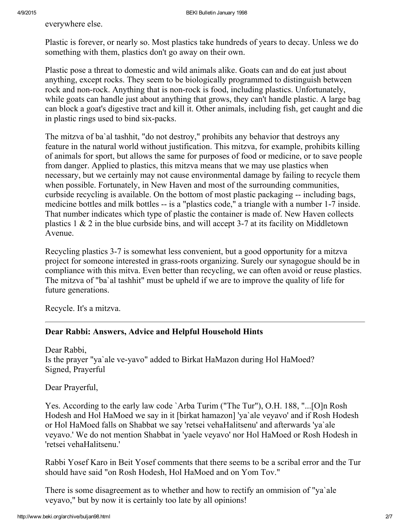everywhere else.

Plastic is forever, or nearly so. Most plastics take hundreds of years to decay. Unless we do something with them, plastics don't go away on their own.

Plastic pose a threat to domestic and wild animals alike. Goats can and do eat just about anything, except rocks. They seem to be biologically programmed to distinguish between rock and non-rock. Anything that is non-rock is food, including plastics. Unfortunately, while goats can handle just about anything that grows, they can't handle plastic. A large bag can block a goat's digestive tract and kill it. Other animals, including fish, get caught and die in plastic rings used to bind six-packs.

The mitzva of ba`al tashhit, "do not destroy," prohibits any behavior that destroys any feature in the natural world without justification. This mitzva, for example, prohibits killing of animals for sport, but allows the same for purposes of food or medicine, or to save people from danger. Applied to plastics, this mitzva means that we may use plastics when necessary, but we certainly may not cause environmental damage by failing to recycle them when possible. Fortunately, in New Haven and most of the surrounding communities, curbside recycling is available. On the bottom of most plastic packaging -- including bags, medicine bottles and milk bottles -- is a "plastics code," a triangle with a number 1-7 inside. That number indicates which type of plastic the container is made of. New Haven collects plastics  $1 \& 2$  in the blue curbside bins, and will accept 3-7 at its facility on Middletown Avenue.

Recycling plastics 3-7 is somewhat less convenient, but a good opportunity for a mitzva project for someone interested in grass-roots organizing. Surely our synagogue should be in compliance with this mitva. Even better than recycling, we can often avoid or reuse plastics. The mitzva of "ba`al tashhit" must be upheld if we are to improve the quality of life for future generations.

Recycle. It's a mitzva.

#### <span id="page-1-0"></span>Dear Rabbi: Answers, Advice and Helpful Household Hints

Dear Rabbi, Is the prayer "ya`ale ve-yavo" added to Birkat HaMazon during Hol HaMoed? Signed, Prayerful

Dear Prayerful,

Yes. According to the early law code `Arba Turim ("The Tur"), O.H. 188, "...[O]n Rosh Hodesh and Hol HaMoed we say in it [birkat hamazon] 'ya`ale veyavo' and if Rosh Hodesh or Hol HaMoed falls on Shabbat we say 'retsei vehaHalitsenu' and afterwards 'ya`ale veyavo.' We do not mention Shabbat in 'yaele veyavo' nor Hol HaMoed or Rosh Hodesh in 'retsei vehaHalitsenu.'

Rabbi Yosef Karo in Beit Yosef comments that there seems to be a scribal error and the Tur should have said "on Rosh Hodesh, Hol HaMoed and on Yom Tov."

There is some disagreement as to whether and how to rectify an ommision of "ya`ale veyavo," but by now it is certainly too late by all opinions!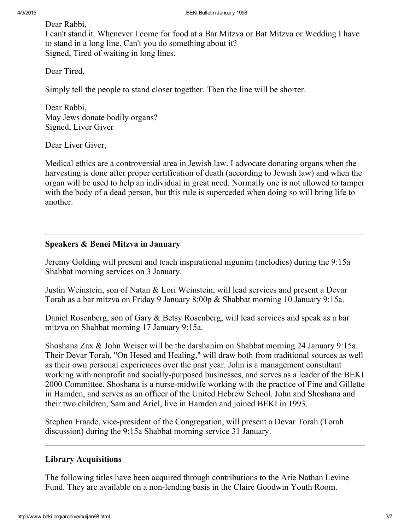Dear Rabbi,

I can't stand it. Whenever I come for food at a Bar Mitzva or Bat Mitzva or Wedding I have to stand in a long line. Can't you do something about it? Signed, Tired of waiting in long lines.

Dear Tired,

Simply tell the people to stand closer together. Then the line will be shorter.

Dear Rabbi, May Jews donate bodily organs? Signed, Liver Giver

Dear Liver Giver,

Medical ethics are a controversial area in Jewish law. I advocate donating organs when the harvesting is done after proper certification of death (according to Jewish law) and when the organ will be used to help an individual in great need. Normally one is not allowed to tamper with the body of a dead person, but this rule is superceded when doing so will bring life to another.

#### <span id="page-2-0"></span>Speakers & Benei Mitzva in January

Jeremy Golding will present and teach inspirational nigunim (melodies) during the 9:15a Shabbat morning services on 3 January.

Justin Weinstein, son of Natan & Lori Weinstein, will lead services and present a Devar Torah as a bar mitzva on Friday 9 January 8:00p & Shabbat morning 10 January 9:15a.

Daniel Rosenberg, son of Gary & Betsy Rosenberg, will lead services and speak as a bar mitzva on Shabbat morning 17 January 9:15a.

Shoshana Zax & John Weiser will be the darshanim on Shabbat morning 24 January 9:15a. Their Devar Torah, "On Hesed and Healing," will draw both from traditional sources as well as their own personal experiences over the past year. John is a management consultant working with nonprofit and socially-purposed businesses, and serves as a leader of the BEKI 2000 Committee. Shoshana is a nurse-midwife working with the practice of Fine and Gillette in Hamden, and serves as an officer of the United Hebrew School. John and Shoshana and their two children, Sam and Ariel, live in Hamden and joined BEKI in 1993.

Stephen Fraade, vice-president of the Congregation, will present a Devar Torah (Torah discussion) during the 9:15a Shabbat morning service 31 January.

## <span id="page-2-1"></span>Library Acquisitions

The following titles have been acquired through contributions to the Arie Nathan Levine Fund. They are available on a non-lending basis in the Claire Goodwin Youth Room.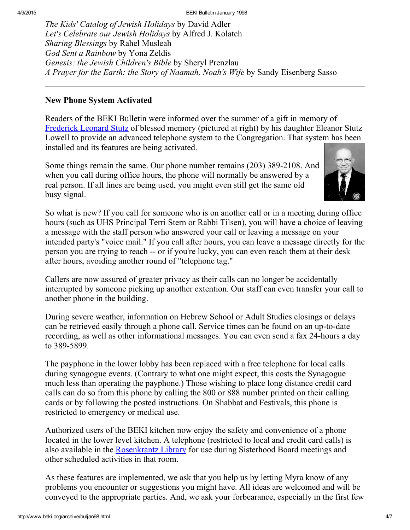The Kids' Catalog of Jewish Holidays by David Adler Let's Celebrate our Jewish Holidays by Alfred J. Kolatch Sharing Blessings by Rahel Musleah God Sent a Rainbow by Yona Zeldis Genesis: the Jewish Children's Bible by Sheryl Prenzlau A Prayer for the Earth: the Story of Naamah, Noah's Wife by Sandy Eisenberg Sasso

#### <span id="page-3-0"></span>New Phone System Activated

Readers of the BEKI Bulletin were informed over the summer of a gift in memory of [Frederick](http://www.beki.org/archive/buljun97.html#stutz) Leonard Stutz of blessed memory (pictured at right) by his daughter Eleanor Stutz Lowell to provide an advanced telephone system to the Congregation. That system has been installed and its features are being activated.

Some things remain the same. Our phone number remains (203) 389-2108. And when you call during office hours, the phone will normally be answered by a real person. If all lines are being used, you might even still get the same old busy signal.



So what is new? If you call for someone who is on another call or in a meeting during office hours (such as UHS Principal Terri Stern or Rabbi Tilsen), you will have a choice of leaving a message with the staff person who answered your call or leaving a message on your intended party's "voice mail." If you call after hours, you can leave a message directly for the person you are trying to reach -- or if you're lucky, you can even reach them at their desk after hours, avoiding another round of "telephone tag."

Callers are now assured of greater privacy as their calls can no longer be accidentally interrupted by someone picking up another extention. Our staff can even transfer your call to another phone in the building.

During severe weather, information on Hebrew School or Adult Studies closings or delays can be retrieved easily through a phone call. Service times can be found on an up-to-date recording, as well as other informational messages. You can even send a fax 24-hours a day to 389-5899.

The payphone in the lower lobby has been replaced with a free telephone for local calls during synagogue events. (Contrary to what one might expect, this costs the Synagogue much less than operating the payphone.) Those wishing to place long distance credit card calls can do so from this phone by calling the 800 or 888 number printed on their calling cards or by following the posted instructions. On Shabbat and Festivals, this phone is restricted to emergency or medical use.

Authorized users of the BEKI kitchen now enjoy the safety and convenience of a phone located in the lower level kitchen. A telephone (restricted to local and credit card calls) is also available in the [Rosenkrantz](http://www.beki.org/archive/endowment.html#rosenkrantz) Library for use during Sisterhood Board meetings and other scheduled activities in that room.

As these features are implemented, we ask that you help us by letting Myra know of any problems you encounter or suggestions you might have. All ideas are welcomed and will be conveyed to the appropriate parties. And, we ask your forbearance, especially in the first few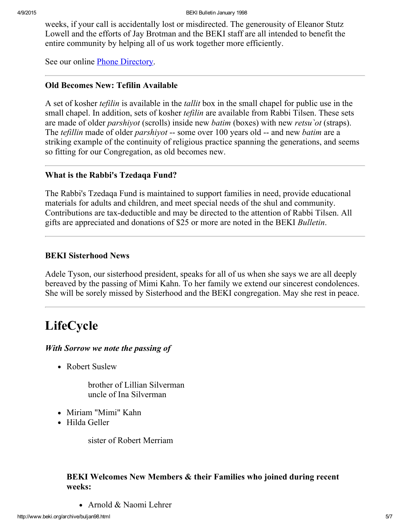weeks, if your call is accidentally lost or misdirected. The generousity of Eleanor Stutz Lowell and the efforts of Jay Brotman and the BEKI staff are all intended to benefit the entire community by helping all of us work together more efficiently.

See our online Phone [Directory](http://www.beki.org/archive/phone.html).

#### <span id="page-4-0"></span>Old Becomes New: Tefilin Available

A set of kosher *tefilin* is available in the *tallit* box in the small chapel for public use in the small chapel. In addition, sets of kosher *tefilin* are available from Rabbi Tilsen. These sets are made of older *parshivot* (scrolls) inside new *batim* (boxes) with new *retsu* ot (straps). The *tefillin* made of older *parshiyot* -- some over 100 years old -- and new *batim* are a striking example of the continuity of religious practice spanning the generations, and seems so fitting for our Congregation, as old becomes new.

#### What is the Rabbi's Tzedaqa Fund?

The Rabbi's Tzedaqa Fund is maintained to support families in need, provide educational materials for adults and children, and meet special needs of the shul and community. Contributions are tax-deductible and may be directed to the attention of Rabbi Tilsen. All gifts are appreciated and donations of \$25 or more are noted in the BEKI Bulletin.

## <span id="page-4-2"></span>BEKI Sisterhood News

Adele Tyson, our sisterhood president, speaks for all of us when she says we are all deeply bereaved by the passing of Mimi Kahn. To her family we extend our sincerest condolences. She will be sorely missed by Sisterhood and the BEKI congregation. May she rest in peace.

# <span id="page-4-1"></span>LifeCycle

## With Sorrow we note the passing of

• Robert Suslew

brother of Lillian Silverman uncle of Ina Silverman

- Miriam "Mimi" Kahn
- Hilda Geller

sister of Robert Merriam

## BEKI Welcomes New Members & their Families who joined during recent weeks:

Arnold & Naomi Lehrer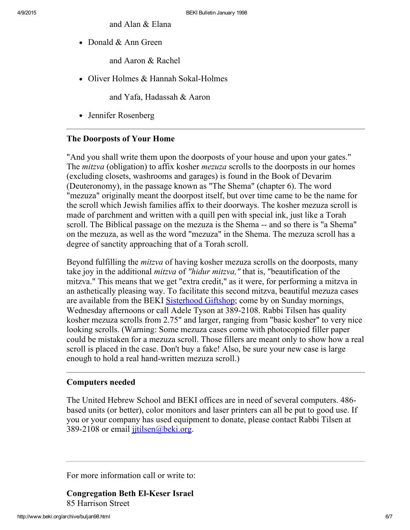and Alan & Elana

• Donald & Ann Green

and Aaron & Rachel

• Oliver Holmes  $&$  Hannah Sokal-Holmes

and Yafa, Hadassah & Aaron

• Jennifer Rosenberg

#### <span id="page-5-1"></span>The Doorposts of Your Home

"And you shall write them upon the doorposts of your house and upon your gates." The *mitzva* (obligation) to affix kosher *mezuza* scrolls to the doorposts in our homes (excluding closets, washrooms and garages) is found in the Book of Devarim (Deuteronomy), in the passage known as "The Shema" (chapter 6). The word "mezuza" originally meant the doorpost itself, but over time came to be the name for the scroll which Jewish families affix to their doorways. The kosher mezuza scroll is made of parchment and written with a quill pen with special ink, just like a Torah scroll. The Biblical passage on the mezuza is the Shema -- and so there is "a Shema" on the mezuza, as well as the word "mezuza" in the Shema. The mezuza scroll has a degree of sanctity approaching that of a Torah scroll.

Beyond fulfilling the mitzva of having kosher mezuza scrolls on the doorposts, many take joy in the additional mitzva of "hidur mitzva," that is, "beautification of the mitzva." This means that we get "extra credit," as it were, for performing a mitzva in an asthetically pleasing way. To facilitate this second mitzva, beautiful mezuza cases are available from the BEKI [Sisterhood](http://www.beki.org/archive/sisterhood.html#giftshop) Giftshop; come by on Sunday mornings, Wednesday afternoons or call Adele Tyson at 389-2108. Rabbi Tilsen has quality kosher mezuza scrolls from 2.75" and larger, ranging from "basic kosher" to very nice looking scrolls. (Warning: Some mezuza cases come with photocopied filler paper could be mistaken for a mezuza scroll. Those fillers are meant only to show how a real scroll is placed in the case. Don't buy a fake! Also, be sure your new case is large enough to hold a real hand-written mezuza scroll.)

#### <span id="page-5-0"></span>Computers needed

The United Hebrew School and BEKI offices are in need of several computers. 486 based units (or better), color monitors and laser printers can all be put to good use. If you or your company has used equipment to donate, please contact Rabbi Tilsen at 389-2108 or email jitilsen@beki.org.

For more information call or write to:

**Congregation Beth El-Keser Israel** 85 Harrison Street